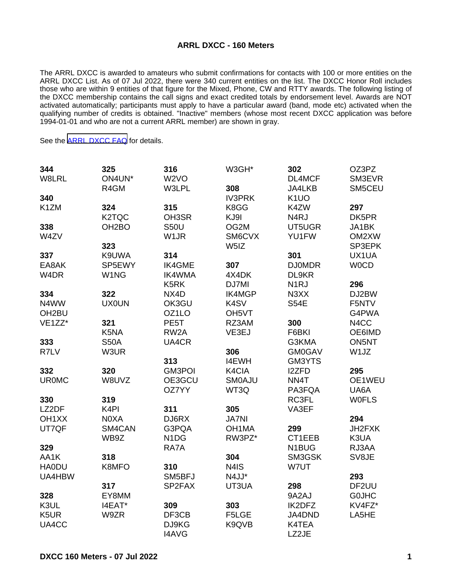## **ARRL DXCC - 160 Meters**

The ARRL DXCC is awarded to amateurs who submit confirmations for contacts with 100 or more entities on the ARRL DXCC List. As of 07 Jul 2022, there were 340 current entities on the list. The DXCC Honor Roll includes those who are within 9 entities of that figure for the Mixed, Phone, CW and RTTY awards. The following listing of the DXCC membership contains the call signs and exact credited totals by endorsement level. Awards are NOT activated automatically; participants must apply to have a particular award (band, mode etc) activated when the qualifying number of credits is obtained. "Inactive" members (whose most recent DXCC application was before 1994-01-01 and who are not a current ARRL member) are shown in gray.

See the [ARRL DXCC FAQ](http://www.arrl.org/dxcc-faq/) for details.

| 344                | 325                | 316                           | W3GH*              | 302               | OZ3PZ             |
|--------------------|--------------------|-------------------------------|--------------------|-------------------|-------------------|
| W8LRL              | ON4UN*             | W <sub>2</sub> VO             |                    | DL4MCF            | SM3EVR            |
|                    | R4GM               | W3LPL                         | 308                | JA4LKB            | SM5CEU            |
| 340                |                    |                               | <b>IV3PRK</b>      | K <sub>1</sub> UO |                   |
| K1ZM               | 324                | 315                           | K8GG               | K4ZW              | 297               |
|                    | K <sub>2</sub> TQC | OH3SR                         | KJ9I               | N <sub>4</sub> RJ | DK5PR             |
| 338                | OH <sub>2</sub> BO | <b>S50U</b>                   | OG2M               | UT5UGR            | JA1BK             |
| W4ZV               |                    | W <sub>1</sub> JR             | SM6CVX             | YU1FW             | OM2XW             |
|                    | 323                |                               | W <sub>5</sub> IZ  |                   | SP3EPK            |
| 337                | K9UWA              | 314                           |                    | 301               | UX1UA             |
| EA8AK              | SP5EWY             | <b>IK4GME</b>                 | 307                | <b>DJ0MDR</b>     | <b>WOCD</b>       |
| W4DR               | W <sub>1</sub> NG  | <b>IK4WMA</b>                 | 4X4DK              | DL9KR             |                   |
|                    |                    | K <sub>5</sub> RK             | DJ7MI              | N <sub>1</sub> RJ | 296               |
| 334                | 322                | NX4D                          | IK4MGP             | N3XX              | DJ2BW             |
| N4WW               | <b>UX0UN</b>       | OK3GU                         | K4SV               | <b>S54E</b>       | F5NTV             |
| OH <sub>2</sub> BU |                    | OZ1LO                         | OH <sub>5</sub> VT |                   | G4PWA             |
| VE1ZZ*             | 321                | PE5T                          | RZ3AM              | 300               | N <sub>4</sub> CC |
|                    | K5NA               | RW <sub>2</sub> A             | VE3EJ              | F6BKI             | OE6IMD            |
| 333                | <b>S50A</b>        | UA4CR                         |                    | G3KMA             | ON5NT             |
| R7LV               | W3UR               |                               | 306                | <b>GM0GAV</b>     | W1JZ              |
|                    |                    | 313                           | <b>I4EWH</b>       | GM3YTS            |                   |
| 332                | 320                | <b>GM3POI</b>                 | K4CIA              | I2ZFD             | 295               |
| <b>UR0MC</b>       | W8UVZ              | OE3GCU                        | <b>SMOAJU</b>      | NN4T              | OE1WEU            |
|                    |                    | OZ7YY                         | WT3Q               | PA3FQA            | UA6A              |
| 330                | 319                |                               |                    | RC3FL             | <b>WOFLS</b>      |
| LZ2DF              | K <sub>4</sub> PI  | 311                           | 305                | VA3EF             |                   |
| OH <sub>1</sub> XX | N0XA               | DJ6RX                         | <b>JA7NI</b>       |                   | 294               |
| UT7QF              | SM4CAN             | G3PQA                         | OH <sub>1</sub> MA | 299               | JH2FXK            |
|                    | WB9Z               | N <sub>1</sub> D <sub>G</sub> | RW3PZ*             | CT1EEB            | K3UA              |
| 329                |                    | RA7A                          |                    | N1BUG             | RJ3AA             |
| AA1K               | 318                |                               | 304                | SM3GSK            | SV8JE             |
| <b>HA0DU</b>       | K8MFO              | 310                           | N <sub>4</sub> IS  | W7UT              |                   |
| UA4HBW             |                    | SM5BFJ                        | N4JJ*              |                   | 293               |
|                    | 317                | SP2FAX                        | UT3UA              | 298               | DF2UU             |
| 328                | EY8MM              |                               |                    | 9A2AJ             | <b>GOJHC</b>      |
| K3UL               | I4EAT*             | 309                           | 303                | IK2DFZ            | KV4FZ*            |
| K5UR               | W9ZR               | DF3CB                         | F5LGE              | JA4DND            | LA5HE             |
| UA4CC              |                    | DJ9KG                         | K9QVB              | K4TEA             |                   |
|                    |                    | <b>I4AVG</b>                  |                    | LZ2JE             |                   |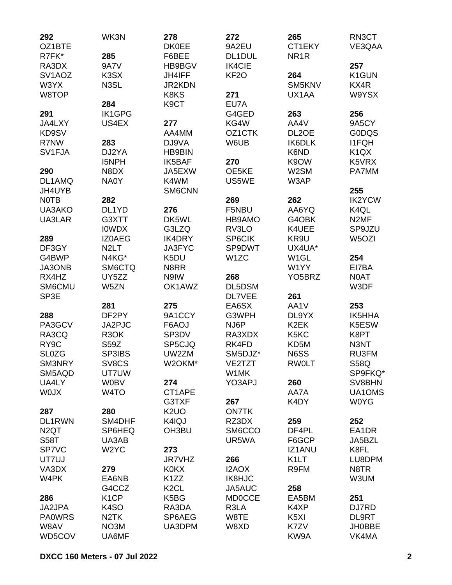| 292                 | WK3N               | 278               | 272               | 265                           | RN3CT                         |
|---------------------|--------------------|-------------------|-------------------|-------------------------------|-------------------------------|
| OZ1BTE              |                    | <b>DK0EE</b>      | 9A2EU             | CT1EKY                        | VE3QAA                        |
| R7FK*               | 285                | F6BEE             | DL1DUL            | NR <sub>1</sub> R             |                               |
| RA3DX               | <b>9A7V</b>        | HB9BGV            | <b>IK4CIE</b>     |                               | 257                           |
| SV <sub>1</sub> AOZ | K3SX               | <b>JH4IFF</b>     | KF <sub>20</sub>  | 264                           | K1GUN                         |
| W3YX                | N3SL               | <b>JR2KDN</b>     |                   | SM5KNV                        | KX4R                          |
| W8TOP               |                    | K8KS              | 271               | UX1AA                         | W9YSX                         |
|                     | 284                | K <sub>9</sub> CT | EU7A              |                               |                               |
| 291                 | <b>IK1GPG</b>      |                   | G4GED             | 263                           | 256                           |
| JA4LXY              | US4EX              | 277               | KG4W              | AA4V                          | 9A5CY                         |
| KD9SV               |                    | AA4MM             | OZ1CTK            | DL <sub>2</sub> OE            | <b>GODQS</b>                  |
| R7NW                | 283                | DJ9VA             | W6UB              | IK6DLK                        | <b>I1FQH</b>                  |
| SV1FJA              | DJ2YA              | <b>HB9BIN</b>     |                   | K6ND                          | K <sub>1</sub> Q <sub>X</sub> |
|                     | <b>I5NPH</b>       | IK5BAF            | 270               | K9OW                          | K5VRX                         |
| 290                 | N8DX               | JA5EXW            | OE5KE             | W2SM                          | PA7MM                         |
| DL1AMQ              | NA0Y               | K4WM              | US5WE             | W3AP                          |                               |
| JH4UYB              |                    | SM6CNN            |                   |                               | 255                           |
| <b>NOTB</b>         | 282                |                   | 269               | 262                           | <b>IK2YCW</b>                 |
| UA3AKO              | DL <sub>1</sub> YD | 276               | F5NBU             | AA6YQ                         | K4QL                          |
| UA3LAR              | G3XTT              | DK5WL             | HB9AMO            | G4OBK                         | N <sub>2</sub> MF             |
|                     | <b>IOWDX</b>       | G3LZQ             | RV3LO             | K4UEE                         | SP9JZU                        |
| 289                 | <b>IZOAEG</b>      | IK4DRY            | SP6CIK            | KR9U                          | W5OZI                         |
| DF3GY               | N <sub>2</sub> LT  | <b>JA3FYC</b>     | SP9DWT            | UX4UA*                        |                               |
| G4BWP               | N4KG*              | K5DU              | W <sub>1</sub> ZC | W <sub>1</sub> GL             | 254                           |
| JA3ONB              | SM6CTQ             | N8RR              |                   | W1YY                          | EI7BA                         |
| RX4HZ               | UY5ZZ              | N9IW              | 268               | YO <sub>5</sub> BRZ           | <b>NOAT</b>                   |
| SM6CMU              | W5ZN               | OK1AWZ            | DL5DSM            |                               | W3DF                          |
| SP3E                |                    |                   | <b>DL7VEE</b>     | 261                           |                               |
|                     | 281                | 275               | EA6SX             | AA1V                          | 253                           |
| 288                 | DF2PY              | 9A1CCY            | G3WPH             | DL9YX                         | IK5HHA                        |
| PA3GCV              | JA2PJC             | F6AOJ             | NJ6P              | K <sub>2</sub> EK             | K5ESW                         |
| RA3CQ               | R <sub>3</sub> OK  | SP3DV             | RA3XDX            | K <sub>5</sub> K <sub>C</sub> | K8PT                          |
| RY <sub>9</sub> C   | S59Z               | SP5CJQ            | RK4FD             | KD5M                          | N3NT                          |
| <b>SL0ZG</b>        | SP3IBS             | UW2ZM             | SM5DJZ*           | N6SS                          | RU3FM                         |
| SM3NRY              | SV8CS              | W2OKM*            | VE2TZT            | <b>RW0LT</b>                  | S58Q                          |
| SM5AQD              | UT7UW              |                   | W1MK              |                               | SP9FKQ*                       |
| UA4LY               | <b>W0BV</b>        | 274               | YO3APJ            | 260                           | SV8BHN                        |
| <b>WOJX</b>         | W <sub>4</sub> TO  | CT1APE            |                   | AA7A                          | UA1OMS                        |
|                     |                    | G3TXF             | 267               | K4DY                          | <b>W0YG</b>                   |
|                     |                    | K <sub>2</sub> UO | <b>ON7TK</b>      |                               |                               |
| 287                 | 280                |                   |                   |                               |                               |
| DL1RWN              | SM4DHF             | K4IQJ             | RZ3DX             | 259                           | 252                           |
| N <sub>2</sub> QT   | SP6HEQ             | OH3BU             | SM6CCO            | DF4PL                         | EA1DR                         |
| <b>S58T</b>         | UA3AB              |                   | UR5WA             | F6GCP                         | JA5BZL                        |
| SP7VC               | W <sub>2</sub> YC  | 273               |                   | <b>IZ1ANU</b>                 | K8FL                          |
| UT7UJ               |                    | <b>JR7VHZ</b>     | 266               | K <sub>1</sub> LT             | LU8DPM                        |
| VA3DX               | 279                | <b>K0KX</b>       | I2AOX             | R9FM                          | N8TR                          |
| W4PK                | EA6NB              | K <sub>1</sub> ZZ | IK8HJC            |                               | W3UM                          |
|                     | G4CCZ              | K <sub>2</sub> CL | JA5AUC            | 258                           |                               |
| 286                 | K <sub>1</sub> CP  | K5BG              | <b>MD0CCE</b>     | EA5BM                         | 251                           |
| JA2JPA              | K <sub>4</sub> SO  | RA3DA             | R3LA              | K4XP                          | DJ7RD                         |
| <b>PA0WRS</b>       | N <sub>2</sub> TK  | SP6AEG            | W8TE              | K <sub>5</sub> XI             | <b>DL9RT</b>                  |
| W8AV                | NO3M               | UA3DPM            | W8XD              | K7ZV                          | <b>JH0BBE</b>                 |
| WD5COV              | UA6MF              |                   |                   | KW9A                          | VK4MA                         |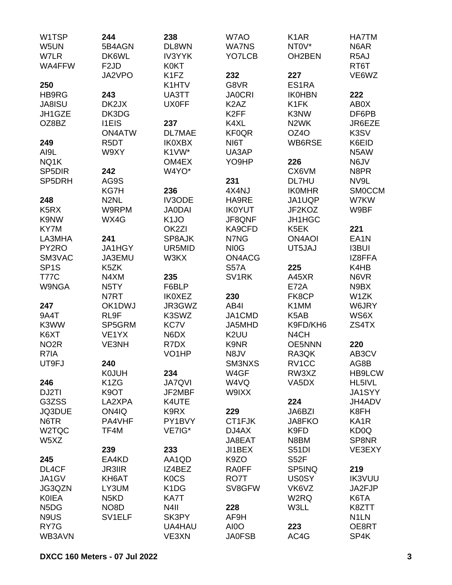| W1TSP                         | 244                           | 238                           | W7AO                          | K <sub>1</sub> AR             | <b>HA7TM</b>      |
|-------------------------------|-------------------------------|-------------------------------|-------------------------------|-------------------------------|-------------------|
| W5UN                          | 5B4AGN                        | DL8WN                         | <b>WA7NS</b>                  | NT0V*                         | N6AR              |
| W7LR                          | DK6WL                         | <b>IV3YYK</b>                 | YO7LCB                        | OH2BEN                        | R <sub>5</sub> AJ |
| WA4FFW                        | F <sub>2</sub> JD             | <b>K0KT</b>                   |                               |                               | RT6T              |
|                               | JA2VPO                        | K <sub>1FZ</sub>              | 232                           | 227                           | VE6WZ             |
| 250                           |                               | K1HTV                         | G8VR                          | ES1RA                         |                   |
| HB9RG                         | 243                           | UA3TT                         | <b>JA0CRI</b>                 | <b>IK0HBN</b>                 | 222               |
| <b>JA8ISU</b>                 | DK2JX                         | <b>UX0FF</b>                  | K <sub>2</sub> A <sub>Z</sub> | K <sub>1</sub> FK             | AB0X              |
| JH1GZE                        | DK3DG                         |                               | K <sub>2</sub> FF             | K3NW                          | DF6PB             |
| OZ8BZ                         | <b>I1EIS</b>                  | 237                           | K4XL                          | N <sub>2</sub> WK             | JR6EZE            |
|                               | <b>ON4ATW</b>                 | <b>DL7MAE</b>                 | <b>KF0QR</b>                  | OZ4O                          | K3SV              |
| 249                           | R <sub>5</sub> DT             | <b>IK0XBX</b>                 | NI6T                          | WB6RSE                        | K6EID             |
| AI9L                          | W9XY                          | K1VW*                         | UA3AP                         |                               | N5AW              |
| NQ1K                          |                               | OM4EX                         | YO9HP                         | 226                           | N6JV              |
| SP5DIR                        | 242                           | W4YO*                         |                               | CX6VM                         | N8PR              |
| SP5DRH                        | AG9S                          |                               | 231                           | DL7HU                         | NV9L              |
|                               |                               | 236                           | 4X4NJ                         | <b>IKOMHR</b>                 | <b>SMOCCM</b>     |
| 248                           | KG7H<br>N <sub>2</sub> NL     | <b>IV3ODE</b>                 | HA9RE                         | JA1UQP                        | W7KW              |
|                               | W9RPM                         |                               | <b>IK0YUT</b>                 | JF2KOZ                        |                   |
| K <sub>5</sub> R <sub>X</sub> |                               | <b>JA0DAI</b>                 |                               |                               | W9BF              |
| K9NW                          | WX4G                          | K <sub>1</sub> JO             | JF8QNF                        | <b>JH1HGC</b>                 |                   |
| KY7M                          |                               | OK <sub>2ZI</sub>             | KA9CFD                        | K5EK                          | 221               |
| LA3MHA                        | 241                           | SP8AJK                        | N7NG                          | <b>ON4AOI</b>                 | EA <sub>1</sub> N |
| PY2RO                         | JA1HGY                        | UR5MID                        | NI <sub>0</sub> G             | UT5JAJ                        | <b>I3BUI</b>      |
| SM3VAC                        | JA3EMU                        | W3KX                          | ON4ACG                        |                               | IZ8FFA            |
| SP <sub>1</sub> S             | K5ZK                          |                               | <b>S57A</b>                   | 225                           | K4HB              |
| <b>T77C</b>                   | N4XM                          | 235                           | SV1RK                         | A45XR                         | N6VR              |
| <b>W9NGA</b>                  | N <sub>5</sub> TY             | F6BLP                         |                               | <b>E72A</b>                   | N9BX              |
|                               | N7RT                          | <b>IK0XEZ</b>                 | 230                           | FK8CP                         | W1ZK              |
| 247                           | OK1DWJ                        | JR3GWZ                        | AB4I                          | K1MM                          | W6JRY             |
| 9A4T                          | RL9F                          | K3SWZ                         | JA1CMD                        | K <sub>5</sub> A <sub>B</sub> | WS6X              |
| K3WW                          | SP5GRM                        | KC7V                          | JA5MHD                        | K9FD/KH6                      | ZS4TX             |
| K6XT                          | VE <sub>1</sub> YX            | N6DX                          | K <sub>2</sub> UU             | N <sub>4</sub> CH             |                   |
| NO <sub>2</sub> R             | VE3NH                         | R7DX                          | K9NR                          | <b>OE5NNN</b>                 | 220               |
| R7IA                          |                               | VO <sub>1</sub> HP            | N8JV                          | RA3QK                         | AB3CV             |
| UT9FJ                         | 240                           |                               | <b>SM3NXS</b>                 | RV1CC                         | AG8B              |
|                               | <b>K0JUH</b>                  | 234                           | W4GF                          | RW3XZ                         | <b>HB9LCW</b>     |
| 246                           | K <sub>1</sub> ZG             | <b>JA7QVI</b>                 | W4VQ                          | VA5DX                         | HL5IVL            |
| DJ2TI                         | K <sub>9</sub> OT             | JF2MBF                        | W9IXX                         |                               | JA1SYY            |
| G3ZSS                         | LA2XPA                        | K4UTE                         |                               | 224                           | JH4ADV            |
| JQ3DUE                        | ON4IQ                         | K9RX                          | 229                           | JA6BZI                        | K8FH              |
| N6TR                          | PA4VHF                        | PY1BVY                        | CT1FJK                        | JA8FKO                        | KA <sub>1</sub> R |
| W2TQC                         | TF4M                          | VE7IG*                        | DJ4AX                         | K9FD                          | KD <sub>0</sub> Q |
| W5XZ                          |                               |                               | JA8EAT                        | N8BM                          | SP8NR             |
|                               | 239                           | 233                           | JI1BEX                        | <b>S51DI</b>                  | VE3EXY            |
| 245                           | EA4KD                         | AA1QD                         | K9ZO                          | S52F                          |                   |
| DL4CF                         | <b>JR3IIR</b>                 | IZ4BEZ                        | <b>RA0FF</b>                  | SP5INQ                        | 219               |
| JA1GV                         | KH6AT                         | <b>KOCS</b>                   | RO7T                          | <b>US0SY</b>                  | <b>IK3VUU</b>     |
| JG3QZN                        | LY3UM                         | K <sub>1</sub> D <sub>G</sub> | SV8GFW                        | VK6VZ                         | JA2FJP            |
| <b>KOIEA</b>                  | N <sub>5</sub> K <sub>D</sub> | KA7T                          |                               | W2RQ                          | K6TA              |
| N <sub>5</sub> D <sub>G</sub> | NO <sub>8</sub> D             | N <sub>4</sub> II             | 228                           | W3LL                          | K8ZTT             |
| N9US                          | SV <sub>1ELF</sub>            | SK3PY                         | AF9H                          |                               | N <sub>1</sub> LN |
| RY7G                          |                               | UA4HAU                        | AI0O                          | 223                           | OE8RT             |
| WB3AVN                        |                               | VE3XN                         | <b>JA0FSB</b>                 | AC4G                          | SP4K              |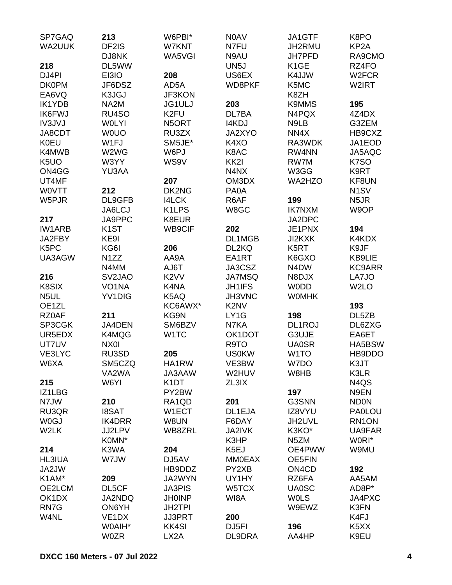| SP7GAQ               | 213                         | W6PBI*             | N0AV                          | JA1GTF                         | K8PO               |
|----------------------|-----------------------------|--------------------|-------------------------------|--------------------------------|--------------------|
| WA2UUK               | DF2IS                       | W7KNT              | N7FU                          | JH2RMU                         | KP <sub>2</sub> A  |
|                      | DJ8NK                       | WA5VGI             | N9AU                          | <b>JH7PFD</b>                  | RA9CMO             |
| 218                  | DL5WW                       |                    | UN <sub>5</sub> J             | K <sub>1</sub> GE              | RZ4FO              |
| DJ4PI                | EI3IO                       | 208                | US6EX                         | K4JJW                          | W <sub>2</sub> FCR |
| <b>DK0PM</b>         | JF6DSZ                      | AD5A               | WD8PKF                        | K5MC                           | W2IRT              |
| EA6VQ                | K3JGJ                       | <b>JF3KON</b>      |                               | K8ZH                           |                    |
| <b>IK1YDB</b>        | NA2M                        | <b>JG1ULJ</b>      | 203                           | <b>K9MMS</b>                   | 195                |
| <b>IK6FWJ</b>        | RU4SO                       | K <sub>2FU</sub>   | DL7BA                         | N4PQX                          | 4Z4DX              |
| <b>IV3JVJ</b>        | <b>WOLYI</b>                | N5ORT              | I4KDJ                         | N9LB                           | G3ZEM              |
| JA8CDT               | <b>WOUO</b>                 | RU3ZX              | JA2XYO                        | NN4X                           | HB9CXZ             |
| <b>K0EU</b>          | W1FJ                        | SM5JE*             | K4XO                          | RA3WDK                         | JA1EOD             |
| K4MWB                | W2WG                        | W6PJ               | K8AC                          | RW4NN                          | JA5AQC             |
| K <sub>5</sub> UO    | W3YY                        | WS9V               | KK <sub>2</sub> I             | RW7M                           | K7SO               |
| ON4GG                | YU3AA                       |                    | N4NX                          | W3GG                           | K9RT               |
| UT4MF                |                             | 207                | OM3DX                         | WA2HZO                         | KF8UN              |
| <b>WOVTT</b>         | 212                         | DK2NG              | PA0A                          |                                | N <sub>1</sub> SV  |
| W5PJR                | DL9GFB                      | <b>I4LCK</b>       | R6AF                          | 199                            | N <sub>5</sub> JR  |
|                      | JA6LCJ                      | K <sub>1</sub> LPS | W8GC                          | <b>IK7NXM</b>                  | W9OP               |
|                      |                             | K8EUR              |                               | JA2DPC                         |                    |
| 217<br><b>IW1ARB</b> | JA9PPC<br>K <sub>1</sub> ST | WB9CIF             | 202                           |                                | 194                |
|                      |                             |                    |                               | JE1PNX                         |                    |
| JA2FBY               | KE9I                        |                    | DL1MGB                        | JI2KXK                         | K4KDX              |
| K5PC                 | KG6I                        | 206                | DL2KQ                         | K <sub>5</sub> RT              | K9JF               |
| UA3AGW               | N <sub>1</sub> ZZ           | AA9A               | EA1RT                         | K6GXO                          | KB9LIE             |
|                      | N4MM                        | AJ6T               | JA3CSZ                        | N4DW                           | KC9ARR             |
| 216                  | SV <sub>2</sub> JAO         | K <sub>2</sub> VV  | <b>JA7MSQ</b>                 | N8DJX                          | LA7JO              |
| K8SIX                | VO <sub>1</sub> NA          | K4NA               | <b>JH1IFS</b>                 | <b>WODD</b>                    | W <sub>2</sub> LO  |
| N <sub>5</sub> UL    | YV1DIG                      | K5AQ               | JH3VNC                        | <b>WOMHK</b>                   |                    |
| OE1ZL                |                             | KC6AWX*            | K <sub>2</sub> N <sub>V</sub> |                                | 193                |
| RZ0AF                | 211                         | KG9N               | LY1G                          | 198                            | DL5ZB              |
| SP3CGK               | JA4DEN                      | SM6BZV             | N7KA                          | DL1ROJ                         | DL6ZXG             |
| UR5EDX               | K4MQG                       | W <sub>1</sub> TC  | OK1DOT                        | G3UJE                          | EA6ET              |
| UT7UV                | NX0I                        |                    | R9TO                          | <b>UA0SR</b>                   | HA5BSW             |
| VE3LYC               | RU3SD                       | 205                | <b>US0KW</b>                  | W <sub>1</sub> TO              | HB9DDO             |
| W6XA                 | SM5CZQ                      | HA1RW              | VE3BW                         | W7DO                           | K3JT               |
|                      | VA2WA                       | JA3AAW             | W2HUV                         | W8HB                           | K3LR               |
| 215                  | W6YI                        | K <sub>1</sub> DT  | ZL3IX                         |                                | N4QS               |
| IZ1LBG               |                             | PY2BW              |                               | 197                            | N9EN               |
| N7JW                 | 210                         | RA1QD              | 201                           | G3SNN                          | <b>ND0N</b>        |
| RU3QR                | <b>I8SAT</b>                | W1ECT              | DL1EJA                        | IZ8VYU                         | <b>PA0LOU</b>      |
| <b>W0GJ</b>          | <b>IK4DRR</b>               | W8UN               | F6DAY                         | JH2UVL                         | RN1ON              |
| W2LK                 | <b>JJ2LPV</b>               | WB8ZRL             | <b>JA2IVK</b>                 | K3KO*                          | UA9FAR             |
|                      | K0MN*                       |                    | K3HP                          | N <sub>5</sub> ZM              | W0RI*              |
| 214                  | K3WA                        | 204                | K5EJ                          | OE4PWW                         | W9MU               |
| <b>HL3IUA</b>        | W7JW                        | DJ5AV              | <b>MM0EAX</b>                 | OE5FIN                         |                    |
| JA2JW                |                             | HB9DDZ             | PY2XB                         | ON <sub>4</sub> C <sub>D</sub> | 192                |
| K1AM*                | 209                         | JA2WYN             | UY1HY                         | RZ6FA                          | AA5AM              |
| OE2LCM               | DL5CF                       | <b>JA3PIS</b>      | W5TCX                         | <b>UA0SC</b>                   | AD8P*              |
| OK1DX                | <b>JA2NDQ</b>               | <b>JH0INP</b>      | WI8A                          | <b>WOLS</b>                    | JA4PXC             |
| RN7G                 | ON6YH                       | <b>JH2TPI</b>      |                               | W9EWZ                          | K3FN               |
| W4NL                 | VE <sub>1</sub> DX          | <b>JJ3PRT</b>      | 200                           |                                | K4FJ               |
|                      | W0AIH*                      | <b>KK4SI</b>       | DJ <sub>5FI</sub>             | 196                            | K5XX               |
|                      | <b>W0ZR</b>                 | LX2A               | DL9DRA                        | AA4HP                          | K9EU               |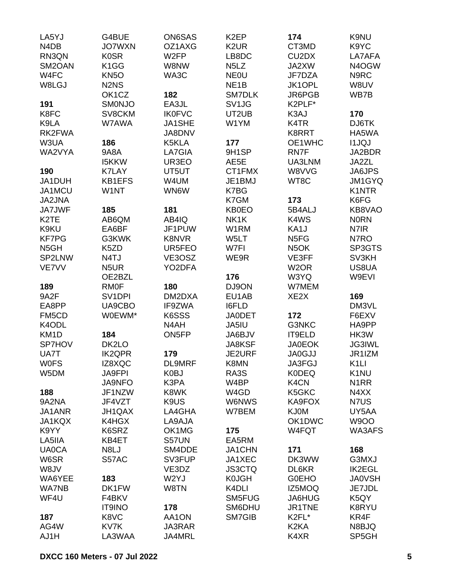| LA5YJ                         | G4BUE                         | <b>ON6SAS</b>     | K <sub>2</sub> EP             | 174                            | K9NU              |
|-------------------------------|-------------------------------|-------------------|-------------------------------|--------------------------------|-------------------|
| N <sub>4</sub> D <sub>B</sub> | <b>JO7WXN</b>                 | OZ1AXG            | K <sub>2</sub> UR             | CT3MD                          | K9YC              |
| RN3QN                         | <b>K0SR</b>                   | W <sub>2FP</sub>  | LB8DC                         | CU <sub>2</sub> D <sub>X</sub> | LA7AFA            |
| SM2OAN                        | K <sub>1</sub> GG             | W8NW              | N <sub>5</sub> L <sub>Z</sub> | JA2XW                          | N4OGW             |
| W4FC                          | KN <sub>50</sub>              | WA3C              | <b>NEOU</b>                   | JF7DZA                         | N9RC              |
| W8LGJ                         | N <sub>2</sub> N <sub>S</sub> |                   | NE <sub>1</sub> B             | JK1OPL                         | W8UV              |
|                               | OK1CZ                         | 182               | SM7DLK                        | JR6PGB                         | WB7B              |
| 191                           | <b>SMONJO</b>                 | EA3JL             | SV <sub>1JG</sub>             | K2PLF*                         |                   |
| K8FC                          | SV8CKM                        | <b>IK0FVC</b>     | UT2UB                         | K3AJ                           | 170               |
| K9LA                          | W7AWA                         | JA1SHE            | W1YM                          | K <sub>4</sub> TR              | DJ6TK             |
| RK2FWA                        |                               | JA8DNV            |                               | <b>K8RRT</b>                   | HA5WA             |
| W3UA                          | 186                           | K5KLA             | 177                           | OE1WHC                         | <b>I1JQJ</b>      |
| WA2VYA                        | <b>9A8A</b>                   | LA7GIA            | 9H1SP                         | RN7F                           | JA2BDR            |
|                               |                               |                   |                               |                                |                   |
|                               | <b>I5KKW</b>                  | UR3EO             | AE5E                          | UA3LNM                         | JA2ZL             |
| 190                           | <b>K7LAY</b>                  | UT5UT             | CT1FMX                        | W8VVG                          | JA6JPS            |
| JA1DUH                        | <b>KB1EFS</b>                 | W4UM              | JE1BMJ                        | WT8C                           | JM1GYQ            |
| JA1MCU                        | W1NT                          | WN6W              | K7BG                          |                                | <b>K1NTR</b>      |
| JA2JNA                        |                               |                   | K7GM                          | 173                            | K6FG              |
| <b>JA7JWF</b>                 | 185                           | 181               | <b>KB0EO</b>                  | 5B4ALJ                         | KB8VAO            |
| K <sub>2</sub> TE             | AB6QM                         | AB4IQ             | NK1K                          | K4WS                           | <b>NORN</b>       |
| K9KU                          | EA6BF                         | JF1PUW            | W1RM                          | KA1J                           | N7IR              |
| <b>KF7PG</b>                  | G3KWK                         | <b>K8NVR</b>      | W5LT                          | N <sub>5FG</sub>               | N7RO              |
| N <sub>5</sub> GH             | K5ZD                          | UR5FEO            | W7FI                          | N <sub>5</sub> OK              | SP3GTS            |
| SP2LNW                        | N4TJ                          | VE3OSZ            | WE9R                          | VE3FF                          | SV3KH             |
| VE7VV                         | N <sub>5</sub> UR             | YO2DFA            |                               | W <sub>2</sub> OR              | US8UA             |
|                               | OE2BZL                        |                   | 176                           | W3YQ                           | W9EVI             |
| 189                           | <b>RMOF</b>                   | 180               | DJ9ON                         | W7MEM                          |                   |
| 9A2F                          | SV <sub>1</sub> DPI           | DM2DXA            | EU1AB                         | XE <sub>2</sub> X              | 169               |
| EA8PP                         | UA9CBO                        | IF9ZWA            | <b>I6FLD</b>                  |                                | DM3VL             |
| FM5CD                         | W0EWM*                        | K6SSS             | <b>JA0DET</b>                 | 172                            | F6EXV             |
| K4ODL                         |                               | N <sub>4</sub> AH | JA5IU                         | G3NKC                          | HA9PP             |
| KM <sub>1</sub> D             | 184                           | ON5FP             | JA6BJV                        | IT9ELD                         | HK3W              |
| <b>SP7HOV</b>                 | DK2LO                         |                   | <b>JA8KSF</b>                 | <b>JA0EOK</b>                  | <b>JG3IWL</b>     |
| UA7T                          | <b>IK2QPR</b>                 | 179               | <b>JE2URF</b>                 | <b>JA0GJJ</b>                  | JR1IZM            |
| <b>WOFS</b>                   | IZ8XQC                        | DL9MRF            | K8MN                          | JA3FGJ                         | K <sub>1</sub> LI |
| W5DM                          | <b>JA9FPI</b>                 | K0BJ              | RA3S                          | <b>K0DEQ</b>                   | K <sub>1</sub> NU |
|                               | <b>JA9NFO</b>                 | K3PA              | W4BP                          | K4CN                           | N <sub>1</sub> RR |
| 188                           | JF1NZW                        | K8WK              | W4GD                          | K5GKC                          | N4XX              |
| 9A2NA                         | JF4VZT                        | K9US              | W6NWS                         | KA9FOX                         | N7US              |
| JA1ANR                        | JH1QAX                        | LA4GHA            | W7BEM                         | <b>KJ0M</b>                    | UY5AA             |
| JA1KQX                        | K4HGX                         | LA9AJA            |                               | OK1DWC                         | <b>W9OO</b>       |
| K9YY                          | K6SRZ                         | OK1MG             | 175                           | W4FQT                          | WA3AFS            |
| LA5IIA                        | KB4ET                         | S57UN             | EA5RM                         |                                |                   |
| <b>UA0CA</b>                  | N8LJ                          | SM4DDE            | JA1CHN                        | 171                            | 168               |
| W6SR                          | S57AC                         | SV3FUP            | JA1XEC                        | DK3WW                          | G3MXJ             |
| W8JV                          |                               | VE3DZ             | <b>JS3CTQ</b>                 | DL6KR                          | <b>IK2EGL</b>     |
| WA6YEE                        | 183                           | W2YJ              | <b>K0JGH</b>                  | <b>GOEHO</b>                   | <b>JA0VSH</b>     |
| <b>WA7NB</b>                  | DK1FW                         | W8TN              | K4DLI                         |                                |                   |
|                               |                               |                   |                               | IZ5MOQ                         | JE7JDL            |
| WF4U                          | F4BKV                         |                   | SM5FUG                        | JA6HUG                         | K5QY              |
|                               | <b>IT9INO</b>                 | 178               | SM6DHU                        | JR1TNE                         | K8RYU             |
| 187                           | K8VC                          | AA1ON             | SM7GIB                        | K2FL*                          | KR4F              |
| AG4W                          | KV7K                          | <b>JA3RAR</b>     |                               | K <sub>2</sub> KA              | N8BJQ             |
| AJ1H                          | LA3WAA                        | JA4MRL            |                               | K4XR                           | SP5GH             |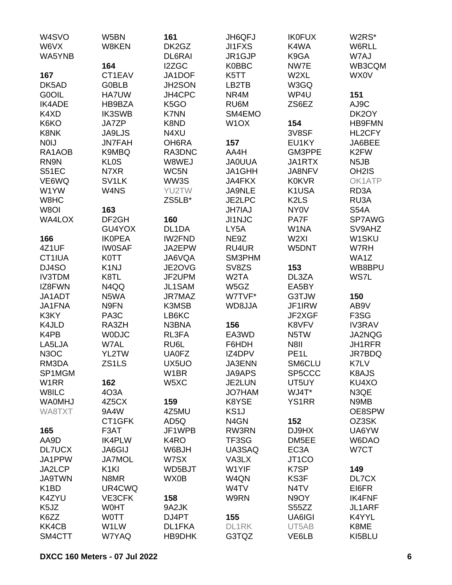| W <sub>4</sub> SVO | W5BN               | 161               | <b>JH6QFJ</b>     | <b>IK0FUX</b>                 | W2RS*                         |
|--------------------|--------------------|-------------------|-------------------|-------------------------------|-------------------------------|
| W6VX               | W8KEN              | DK2GZ             | <b>JI1FXS</b>     | K4WA                          | W6RLL                         |
| WA5YNB             |                    | DL6RAI            | JR1GJP            | K9GA                          | W7AJ                          |
|                    | 164                | I2ZGC             | <b>K0BBC</b>      | NW7E                          | WB3CQM                        |
| 167                | CT1EAV             | JA1DOF            | K5TT              | W2XL                          | WX0V                          |
| DK5AD              | <b>G0BLB</b>       | JH2SON            | LB2TB             | W3GQ                          |                               |
| <b>G0OIL</b>       | <b>HA7UW</b>       | JH4CPC            | NR4M              | WP4U                          | 151                           |
| <b>IK4ADE</b>      | HB9BZA             | K <sub>5</sub> GO | RU6M              | ZS6EZ                         | AJ9C                          |
| K4XD               | <b>IK3SWB</b>      | <b>K7NN</b>       | SM4EMO            |                               | DK2OY                         |
| K6KO               | <b>JA7ZP</b>       | K8ND              | W <sub>1</sub> OX | 154                           | <b>HB9FMN</b>                 |
| K8NK               | <b>JA9LJS</b>      | N4XU              |                   | 3V8SF                         | HL2CFY                        |
| <b>NOIJ</b>        | <b>JN7FAH</b>      | OH6RA             | 157               | EU1KY                         | JA6BEE                        |
| RA1AOB             | K9MBQ              | RA3DNC            | AA4H              | GM3PPE                        | K <sub>2</sub> FW             |
| RN9N               | <b>KLOS</b>        | W8WEJ             | <b>JA0UUA</b>     | JA1RTX                        | N <sub>5</sub> JB             |
| S51EC              | N7XR               | WC5N              | JA1GHH            | JA8NFV                        | OH <sub>2</sub> IS            |
| VE6WQ              | SV <sub>1</sub> LK | WW3S              | JA4FKX            | <b>K0KVR</b>                  | OK1ATP                        |
| W1YW               | W4NS               | YU2TW             | JA9NLE            | K1USA                         | RD3A                          |
| W8HC               |                    | ZS5LB*            | JE2LPC            | K <sub>2</sub> L <sub>S</sub> | RU3A                          |
| W8OI               | 163                |                   | <b>JH7IAJ</b>     | <b>NY0V</b>                   | <b>S54A</b>                   |
| WA4LOX             | DF <sub>2GH</sub>  | 160               | <b>JI1NJC</b>     | PA7F                          | SP7AWG                        |
|                    | GU4YOX             | DL1DA             | LY5A              | W1NA                          | SV9AHZ                        |
|                    | <b>IKOPEA</b>      | IW2FND            | NE9Z              | W <sub>2XI</sub>              | W1SKU                         |
| 166                | <b>IW0SAF</b>      |                   | RU4UR             |                               |                               |
| 4Z1UF              |                    | JA2EPW            | SM3PHM            | W5DNT                         | W7RH                          |
| CT1IUA             | <b>K0TT</b>        | JA6VQA            |                   |                               | WA1Z                          |
| DJ4SO              | K <sub>1</sub> NJ  | JE2OVG            | SV8ZS             | 153                           | WB8BPU                        |
| <b>IV3TDM</b>      | K8TL               | JF2UPM            | W <sub>2</sub> TA | DL3ZA                         | WS7L                          |
| IZ8FWN             | N4QQ               | JL1SAM            | W5GZ              | EA5BY                         |                               |
| JA1ADT             | N5WA               | JR7MAZ            | W7TVF*            | G3TJW                         | 150                           |
| JA1FNA             | N9FN               | K3MSB             | WD8JJA            | JF1IRW                        | AB9V                          |
| K3KY               | PA <sub>3</sub> C  | LB6KC             |                   | JF2XGF                        | F <sub>3</sub> S <sub>G</sub> |
| K4JLD              | RA3ZH              | N3BNA             | 156               | K8VFV                         | <b>IV3RAV</b>                 |
| K4PB               | <b>WODJC</b>       | RL3FA             | EA3WD             | N5TW                          | JA2NQG                        |
| LA5LJA             | W7AL               | RU6L              | F6HDH             | N8II                          | <b>JH1RFR</b>                 |
| N <sub>3</sub> OC  | YL2TW              | <b>UA0FZ</b>      | IZ4DPV            | PE <sub>1</sub> L             | JR7BDQ                        |
| RM3DA              | ZS1LS              | UX5UO             | JA3ENN            | SM6CLU                        | K7LV                          |
| SP1MGM             |                    | W <sub>1</sub> BR | <b>JA9APS</b>     | SP5CCC                        | K8AJS                         |
| W <sub>1</sub> RR  | 162                | W5XC              | JE2LUN            | UT5UY                         | KU4XO                         |
| W8ILC              | 4O3A               |                   | <b>JO7HAM</b>     | WJ4T*                         | N3QE                          |
| <b>WAOMHJ</b>      | 4Z5CX              | 159               | K8YSE             | <b>YS1RR</b>                  | N9MB                          |
| WA8TXT             | 9A4W               | 4Z5MU             | KS <sub>1</sub> J |                               | OE8SPW                        |
|                    | CT1GFK             | AD5Q              | N <sub>4</sub> GN | 152                           | OZ3SK                         |
| 165                | F3AT               | JF1WPB            | RW3RN             | DJ9HX                         | UA6YW                         |
| AA9D               | <b>IK4PLW</b>      | K4RO              | TF3SG             | DM5EE                         | W6DAO                         |
| <b>DL7UCX</b>      | JA6GIJ             | W6BJH             | UA3SAQ            | EC <sub>3</sub> A             | W7CT                          |
| JA1PPW             | <b>JA7MOL</b>      | W7SX              | VA3LX             | JT <sub>1</sub> CO            |                               |
| JA2LCP             | K <sub>1</sub> KI  | WD5BJT            | W1YIF             | K7SP                          | 149                           |
| <b>JA9TWN</b>      | N8MR               | WX0B              | W4QN              | KS3F                          | DL7CX                         |
| K <sub>1</sub> BD  | UR4CWQ             |                   | W4TV              | N <sub>4</sub> TV             | EI6FR                         |
| K4ZYU              | VE3CFK             | 158               | W9RN              | N9OY                          | <b>IK4FNF</b>                 |
| K <sub>5</sub> JZ  | <b>WOHT</b>        | 9A2JK             |                   | S55ZZ                         | JL1ARF                        |
| K6ZZ               | <b>WOTT</b>        | DJ4PT             | 155               | UA6IGI                        | K4YYL                         |
| <b>KK4CB</b>       | W1LW               | DL1FKA            | DL1RK             | UT5AB                         | K8ME                          |
| SM4CTT             | W7YAQ              | HB9DHK            | G3TQZ             | VE6LB                         | KI5BLU                        |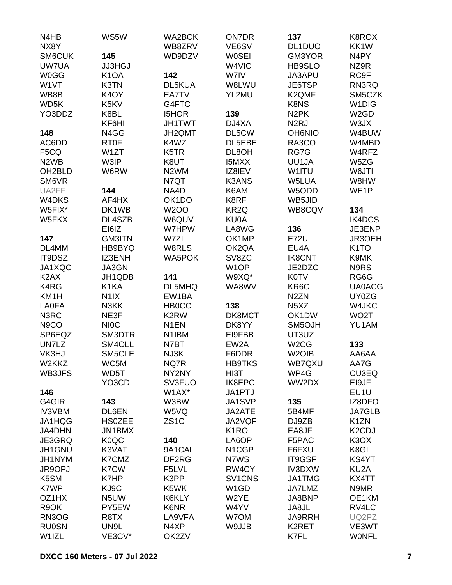| N4HB                          | WS5W              | <b>WA2BCK</b>     | <b>ON7DR</b>                    | 137                           | K8ROX                           |
|-------------------------------|-------------------|-------------------|---------------------------------|-------------------------------|---------------------------------|
| NX8Y                          |                   | WB8ZRV            | VE6SV                           | DL1DUO                        | KK1W                            |
| SM6CUK                        | 145               | WD9DZV            | <b>WOSEI</b>                    | GM3YOR                        | N <sub>4</sub> PY               |
| UW7UA                         | <b>JJ3HGJ</b>     |                   | W4VIC                           | <b>HB9SLO</b>                 | NZ9R                            |
| <b>W0GG</b>                   | K <sub>1</sub> OA | 142               | W7IV                            | JA3APU                        | RC9F                            |
| W1VT                          | K3TN              | DL5KUA            | W8LWU                           | JE6TSP                        | RN3RQ                           |
| WB8B                          | K <sub>4</sub> OY | EA7TV             | YL2MU                           | K2QMF                         | SM5CZK                          |
| WD5K                          | K5KV              | G4FTC             |                                 | K8NS                          | W <sub>1</sub> DIG              |
| YO3DDZ                        | K8BL              | <b>I5HOR</b>      | 139                             | N <sub>2</sub> PK             | W <sub>2</sub> GD               |
|                               | KF6HI             | <b>JH1TWT</b>     | DJ4XA                           | N <sub>2</sub> RJ             | W3JX                            |
| 148                           | N4GG              | <b>JH2QMT</b>     | DL5CW                           | <b>OH6NIO</b>                 | W4BUW                           |
| AC6DD                         | <b>RT0F</b>       | K4WZ              | DL5EBE                          | RA3CO                         | W4MBD                           |
| F5CQ                          | W1ZT              | K <sub>5</sub> TR | DL8OH                           | RG7G                          | W4RFZ                           |
| N <sub>2</sub> W <sub>B</sub> | W3IP              | K8UT              | <b>I5MXX</b>                    | UU1JA                         | W5ZG                            |
| OH <sub>2</sub> BLD           | W6RW              | N <sub>2</sub> WM | IZ8IEV                          | W1ITU                         | W6JTI                           |
| SM6VR                         |                   | N7QT              | <b>K3ANS</b>                    | W5LUA                         | W8HW                            |
| UA2FF                         | 144               | NA4D              | K6AM                            | W5ODD                         | WE <sub>1</sub> P               |
| W4DKS                         | AF4HX             | OK1DO             | K8RF                            | WB5JID                        |                                 |
| W5FIX*                        | DK1WB             | <b>W2OO</b>       | KR <sub>2Q</sub>                | WB8CQV                        | 134                             |
| W5FKX                         | DL4SZB            | W6QUV             | <b>KU0A</b>                     |                               | IK4DCS                          |
|                               | EI6IZ             | W7HPW             | LA8WG                           | 136                           | JE3ENP                          |
|                               |                   |                   |                                 |                               | JR3OEH                          |
| 147                           | <b>GM3ITN</b>     | W7ZI              | OK1MP                           | <b>E72U</b>                   |                                 |
| DL4MM                         | HB9BYQ            | W8RLS             | OK2QA                           | EU4A                          | K <sub>1</sub> TO               |
| IT9DSZ                        | IZ3ENH            | <b>WA5POK</b>     | SV8ZC                           | <b>IK8CNT</b>                 | K9MK                            |
| JA1XQC                        | JA3GN             |                   | W <sub>1</sub> OP               | JE2DZC                        | N9RS                            |
| K <sub>2</sub> AX             | JH1QDB            | 141               | W9XQ*                           | <b>K0TV</b>                   | RG6G                            |
| K4RG                          | K1KA              | DL5MHQ            | WA8WV                           | KR <sub>6</sub> C             | <b>UA0ACG</b>                   |
| KM1H                          | N <sub>1</sub> X  | EW1BA             |                                 | N <sub>2</sub> ZN             | UY0ZG                           |
| <b>LA0FA</b>                  | N3KK              | <b>HBOCC</b>      | 138                             | N <sub>5</sub> X <sub>Z</sub> | W4JKC                           |
| N3RC                          | NE3F              | K2RW              | DK8MCT                          | OK1DW                         | WO <sub>2</sub> T               |
| N <sub>9</sub> CO             | <b>NIOC</b>       | N <sub>1</sub> EN | DK8YY                           | SM5OJH                        | YU1AM                           |
| SP6EQZ                        | SM3DTR            | N1IBM             | EI9FBB                          | UT3UZ                         |                                 |
| UN7LZ                         | SM4OLL            | N7BT              | EW <sub>2</sub> A               | W <sub>2</sub> CG             | 133                             |
| VK3HJ                         | SM5CLE            | NJ3K              | F6DDR                           | W <sub>2</sub> OIB            | AA6AA                           |
| W2KKZ                         | WC5M              | NQ7R              | <b>HB9TKS</b>                   | WB7QXU                        | AA7G                            |
| WB3JFS                        | WD5T              | NY2NY             | HI3T                            | WP4G                          | <b>CU3EQ</b>                    |
|                               | YO3CD             | SV3FUO            | IK8EPC                          | WW2DX                         | EI9JF                           |
| 146                           |                   | W1AX*             | JA1PTJ                          |                               | EU1U                            |
| G4GIR                         | 143               | W3BW              | JA1SVP                          | 135                           | IZ8DFO                          |
| <b>IV3VBM</b>                 | DL6EN             | W5VQ              | JA2ATE                          | 5B4MF                         | <b>JA7GLB</b>                   |
| JA1HQG                        | <b>HS0ZEE</b>     | ZS <sub>1</sub> C | JA2VQF                          | DJ9ZB                         | K <sub>1</sub> ZN               |
| JA4DHN                        | JN1BMX            |                   | K <sub>1</sub> RO               | EA8JF                         | K <sub>2</sub> C <sub>D</sub> J |
| JE3GRQ                        | K <sub>0</sub> QC | 140               | LA6OP                           | F5PAC                         | K <sub>3</sub> O <sub>X</sub>   |
| JH1GNU                        | K3VAT             | 9A1CAL            | N <sub>1</sub> CGP              | F6FXU                         | K8GI                            |
| JH1NYM                        | K7CMZ             | DF <sub>2RG</sub> | N7WS                            | IT9GSF                        | KS4YT                           |
| JR9OPJ                        | K7CW              | F5LVL             | RW4CY                           | <b>IV3DXW</b>                 | KU <sub>2</sub> A               |
| K5SM                          | K7HP              | K3PP              | SV <sub>1</sub> CN <sub>S</sub> | JA1TMG                        | KX4TT                           |
| K7WP                          | KJ9C              | K5WK              | W <sub>1</sub> GD               | JA7LMZ                        | N9MR                            |
| OZ1HX                         | N <sub>5</sub> UW | K6KLY             | W2YE                            | JA8BNP                        | OE1KM                           |
| R9OK                          | PY5EW             | K6NR              | W4YV                            | JA8JL                         | RV4LC                           |
| RN3OG                         | R8TX              | LA9VFA            | W7OM                            | <b>JA9RRH</b>                 | UQ2PZ                           |
| <b>RU0SN</b>                  | UN9L              | N4XP              | W9JJB                           | K2RET                         | VE3WT                           |
| W1IZL                         | VE3CV*            | OK2ZV             |                                 | K7FL                          | <b>WONFL</b>                    |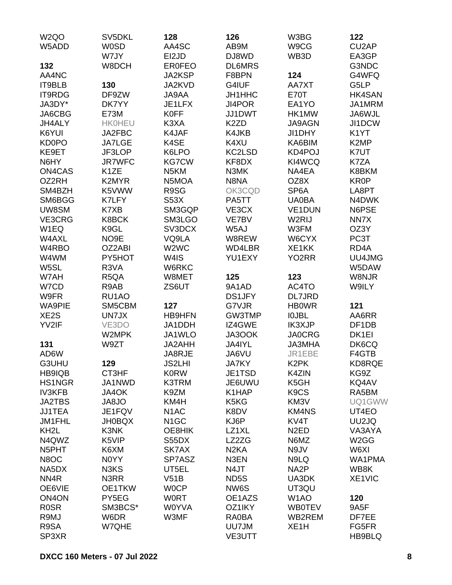| W <sub>2</sub> QO                 | SV5DKL            | 128                           | 126               | W3BG                               | 122                |
|-----------------------------------|-------------------|-------------------------------|-------------------|------------------------------------|--------------------|
| W5ADD                             | <b>W0SD</b>       | AA4SC                         | AB9M              | W9CG                               | CU <sub>2</sub> AP |
|                                   | W7JY              | EI2JD                         | DJ8WD             | WB3D                               | EA3GP              |
| 132                               | W8DCH             | <b>ER0FEO</b>                 | <b>DL6MRS</b>     |                                    | G3NDC              |
| AA4NC                             |                   | JA2KSP                        | F8BPN             | 124                                | G4WFQ              |
| IT9BLB                            | 130               | JA2KVD                        | G4IUF             | AA7XT                              | G5LP               |
| IT9RDG                            | DF9ZW             | JA9AA                         | JH1HHC            | <b>E70T</b>                        | <b>HK4SAN</b>      |
| JA3DY*                            | DK7YY             | JE1LFX                        | JI4POR            | EA1YO                              | JA1MRM             |
| JA6CBG                            | <b>E73M</b>       | <b>K0FF</b>                   | JJ1DWT            | HK1MW                              | JA6WJL             |
| JH4ALY                            | <b>HK0HEU</b>     | K3XA                          | K <sub>2</sub> ZD | <b>JA9AGN</b>                      | JI1DCW             |
| K6YUI                             | JA2FBC            | K4JAF                         | K4JKB             | JI1DHY                             | K <sub>1</sub> YT  |
| <b>KD0PO</b>                      | <b>JA7LGE</b>     | K4SE                          | K4XU              | KA6BIM                             | K <sub>2</sub> MP  |
| KE9ET                             | JF3LOP            | K6LPO                         | KC2LSD            | KD4POJ                             | K7UT               |
| N6HY                              | <b>JR7WFC</b>     | <b>KG7CW</b>                  | KF8DX             | KI4WCQ                             | K7ZA               |
| ON4CAS                            | K <sub>1</sub> ZE | N <sub>5</sub> KM             | N3MK              | NA4EA                              | K8BKM              |
| OZ2RH                             | K2MYR             | N5MOA                         | N8NA              | OZ8X                               | <b>KR0P</b>        |
| SM4BZH                            | K5VWW             | R9SG                          | OK3CQD            | SP <sub>6</sub> A                  | LA8PT              |
| SM6BGG                            | K7LFY             | S53X                          | PA5TT             | <b>UA0BA</b>                       | N4DWK              |
| UW8SM                             | K7XB              | SM3GQP                        | VE3CX             | VE1DUN                             | N6PSE              |
| VE3CRG                            | K8BCK             | SM3LGO                        | VE7BV             | W2RIJ                              | NN7X               |
| W1EQ                              | K9GL              | SV3DCX                        | W5AJ              | W3FM                               | OZ3Y               |
| W4AXL                             | NO9E              | VQ9LA                         | W8REW             | W6CYX                              | PC3T               |
| W4RBO                             | OZ2ABI            | W <sub>2</sub> W <sub>C</sub> | WD4LBR            | XE1KK                              | RD <sub>4</sub> A  |
| W4WM                              | PY5HOT            | W4IS                          | YU1EXY            | YO <sub>2</sub> RR                 | UU4JMG             |
| W5SL                              | R3VA              | W6RKC                         |                   |                                    | W5DAW              |
| W7AH                              | R5QA              | W8MET                         | 125               | 123                                | W8NJR              |
| W7CD                              | R9AB              | ZS6UT                         | 9A1AD             | AC4TO                              | W9ILY              |
| W9FR                              | RU1AO             |                               | <b>DS1JFY</b>     | <b>DL7JRD</b>                      |                    |
| <b>WA9PIE</b>                     | SM5CBM            | 127                           | G7VJR             | <b>HBOWR</b>                       | 121                |
| XE <sub>2</sub> S                 | UN7JX             | <b>HB9HFN</b>                 | GW3TMP            | <b>IOJBL</b>                       | AA6RR              |
| YV2IF                             | VE3DO             | JA1DDH                        | IZ4GWE            | <b>IK3XJP</b>                      | DF <sub>1</sub> DB |
|                                   | W2MPK             | JA1WLO                        | JA3OOK            | <b>JA0CRG</b>                      | DK <sub>1EI</sub>  |
| 131                               | W9ZT              | JA2AHH                        | JA4IYL            | <b>JA3MHA</b>                      | DK6CQ              |
| AD6W                              |                   | JA8RJE                        | JA6VU             | JR1EBE                             | F4GTB              |
| G3UHU                             | 129               | <b>JS2LHI</b>                 | <b>JA7KY</b>      | K <sub>2</sub> PK                  | KD8RQE             |
| HB9IQB                            | CT3HF             | <b>K0RW</b>                   | JE1TSD            | K4ZIN                              | KG9Z               |
| <b>HS1NGR</b>                     | JA1NWD            | K3TRM                         | JE6UWU            | K5GH                               | KQ4AV              |
| <b>IV3KFB</b>                     | JA4OK             | K9ZM                          | K1HAP             | K <sub>9</sub> C <sub>S</sub>      | RA5BM              |
| <b>JA2TBS</b>                     | <b>JA8JO</b>      | KM4H                          | K5KG              | KM3V                               | UQ1GWW             |
| <b>JJ1TEA</b>                     | JE1FQV            | N <sub>1</sub> AC             | K8DV              | <b>KM4NS</b>                       | UT4EO              |
| JM1FHL                            | <b>JH0BQX</b>     | N <sub>1</sub> GC             | KJ6P              | KV4T                               | UU2JQ              |
| KH <sub>2</sub> L                 | K3NK              | OE8HIK                        | LZ1XL             | N <sub>2</sub> ED                  | VA3AYA             |
| N4QWZ                             | K5VIP             | S55DX                         | LZ2ZG             | N6MZ                               | W <sub>2</sub> GG  |
| N5PHT                             | K6XM              | SK7AX                         | N <sub>2</sub> KA | N9JV                               | W6XI               |
| N8OC                              | N0YY              | SP7ASZ                        | N3EN              | N9LQ                               | WA1PMA             |
| NA5DX                             | N3KS              | UT5EL                         | N4JT              | NA <sub>2</sub> P                  | WB8K               |
| NN <sub>4</sub> R<br>OE6VIE       | N3RR<br>OE1TKW    | V51B<br><b>WOCP</b>           | ND <sub>5</sub> S | UA3DK                              | XE1VIC             |
|                                   |                   |                               | NW6S              | UT3QU                              |                    |
| ON <sub>4</sub> ON<br><b>R0SR</b> | PY5EG             | <b>WORT</b><br><b>W0YVA</b>   | OE1AZS            | W <sub>1</sub> AO<br><b>WB0TEV</b> | 120                |
| R9MJ                              | SM3BCS*<br>W6DR   | W3MF                          | OZ1IKY<br>RA0BA   | WB2REM                             | 9A5F<br>DF7EE      |
| R9SA                              | W7QHE             |                               | UU7JM             | XE <sub>1</sub> H                  | FG5FR              |
| SP3XR                             |                   |                               | <b>VE3UTT</b>     |                                    | HB9BLQ             |
|                                   |                   |                               |                   |                                    |                    |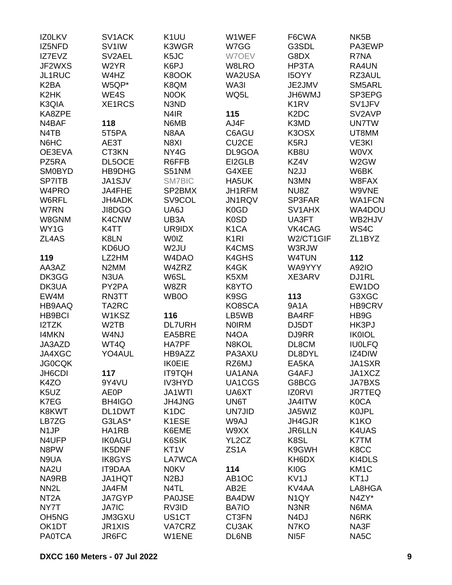| IZ0LKV                         | SV1ACK             | K <sub>1</sub> UU | W1WEF              | F6CWA                         | NK <sub>5</sub> B   |
|--------------------------------|--------------------|-------------------|--------------------|-------------------------------|---------------------|
| IZ5NFD                         | SV <sub>1</sub> IW | K3WGR             | W7GG               | G3SDL                         | PA3EWP              |
| IZ7EVZ                         | SV2AEL             | K5JC              | W7OEV              | G8DX                          | R7NA                |
| JF2WXS                         | W <sub>2</sub> YR  | K6PJ              | W8LRO              | HP3TA                         | RA4UN               |
| JL1RUC                         | W4HZ               | K8OOK             | WA2USA             | <b>I5OYY</b>                  | RZ3AUL              |
| K <sub>2</sub> BA              | W5QP*              | K8QM              | WA3I               | JE2JMV                        | SM5ARL              |
| K <sub>2</sub> HK              | WE4S               | N0OK              | WQ5L               | <b>UMW9HL</b>                 | SP3EPG              |
| K3QIA                          | XE1RCS             | N3ND              |                    | K <sub>1</sub> R <sub>V</sub> | SV1JFV              |
| KA8ZPE                         |                    | N <sub>4</sub> IR | 115                | K <sub>2</sub> D <sub>C</sub> | SV2AVP              |
| N4BAF                          | 118                | N6MB              | AJ4F               | K3MD                          | <b>UN7TW</b>        |
| N4TB                           | 5T5PA              | N8AA              | C6AGU              | K3OSX                         | UT8MM               |
| N6HC                           | AE3T               | N8XI              | CU <sub>2</sub> CE | K <sub>5</sub> RJ             | VE3KI               |
| OE3EVA                         | CT3KN              | NY4G              | DL9GOA             | KB8U                          | <b>WOVX</b>         |
| PZ5RA                          | DL5OCE             | R6FFB             | EI2GLB             | KZ4V                          | W2GW                |
| <b>SM0BYD</b>                  | HB9DHG             | <b>S51NM</b>      | G4XEE              | N <sub>2</sub> JJ             | W6BK                |
| <b>SP7ITB</b>                  | JA1SJV             | <b>SM7BIC</b>     | HA5UK              | N3MN                          | W8FAX               |
| W4PRO                          | JA4FHE             | SP2BMX            | JH1RFM             | NU8Z                          | W9VNE               |
| W6RFL                          | JH4ADK             | SV9COL            | JN1RQV             | SP3FAR                        | <b>WA1FCN</b>       |
| <b>W7RN</b>                    | JI8DGO             | UA6J              | K <sub>0</sub> GD  | SV1AHX                        | WA4DOU              |
| W8GNM                          | K4CNW              | UB3A              | K <sub>0</sub> SD  | UA3FT                         | WB2HJV              |
| WY1G                           | K4TT               | UR9IDX            | K <sub>1</sub> CA  | VK4CAG                        | WS4C                |
| ZL4AS                          | K8LN               | <b>WOIZ</b>       | K <sub>1</sub> RI  | W2/CT1GIF                     | ZL <sub>1</sub> BYZ |
|                                | KD6UO              | W2JU              | K4CMS              | W3RJW                         |                     |
| 119                            | LZ2HM              | W4DAO             | K4GHS              | W4TUN                         | 112                 |
| AA3AZ                          | N <sub>2</sub> MM  | W4ZRZ             | K4GK               | WA9YYY                        | A92IO               |
| DK3GG                          | N3UA               | W6SL              | K5XM               | XE3ARV                        | DJ1RL               |
| DK3UA                          | PY2PA              | W8ZR              | K8YTO              |                               | EW <sub>1</sub> DO  |
| EW4M                           | RN3TT              | WB0O              | K9SG               | 113                           | G3XGC               |
| HB9AAQ                         | TA2RC              |                   | KO8SCA             | 9A1A                          | <b>HB9CRV</b>       |
| <b>HB9BCI</b>                  | W1KSZ              | 116               | LB5WB              | BA4RF                         | HB9G                |
| I2TZK                          | W <sub>2</sub> TB  | <b>DL7URH</b>     | <b>NOIRM</b>       | DJ5DT                         | HK3PJ               |
| <b>I4MKN</b>                   | W4NJ               |                   |                    |                               | <b>IK0IOL</b>       |
| JA3AZD                         |                    | EA5BRE            | N <sub>4</sub> OA  | DJ9RR                         |                     |
|                                | WT4Q               | HA7PF             | N8KOL              | DL8CM                         | <b>IU0LFQ</b>       |
| JA4XGC                         | YO4AUL             | HB9AZZ            | PA3AXU             | DL8DYL                        | IZ4DIW              |
| <b>JG0CQK</b>                  |                    | <b>IK0EIE</b>     | RZ6MJ              | EA5KA                         | JA1SXR              |
| JH6CDI                         | 117                | <b>IT9TQH</b>     | UA1ANA             | G4AFJ                         | JA1XCZ              |
| K4ZO                           | 9Y4VU              | <b>IV3HYD</b>     | UA1CGS             | G8BCG                         | <b>JA7BXS</b>       |
| K5UZ                           | <b>AE0P</b>        | JA1WTI            | UA6XT              | <b>IZORVI</b>                 | <b>JR7TEQ</b>       |
| K7EG                           | BH4IGO             | JH4JNG            | UN6T               | JA4ITW                        | <b>K0CA</b>         |
| K8KWT                          | DL1DWT             | K <sub>1</sub> DC | <b>UN7JID</b>      | JA5WIZ                        | <b>KOJPL</b>        |
| LB7ZG                          | G3LAS*             | K1ESE             | W9AJ               | JH4GJR                        | K <sub>1</sub> KO   |
| N <sub>1</sub> JP              | HA1RB              | K6EME             | W9XX               | <b>JR6LLN</b>                 | K4UAS               |
| N4UFP                          | <b>IK0AGU</b>      | K6SIK             | YL2CZ              | K8SL                          | K7TM                |
| N8PW                           | IK5DNF             | KT <sub>1</sub> V | ZS <sub>1</sub> A  | K9GWH                         | K8CC                |
| N9UA                           | <b>IK8GYS</b>      | <b>LA7WCA</b>     |                    | KH6DX                         | KI4DLS              |
| NA <sub>2U</sub>               | <b>IT9DAA</b>      | <b>N0KV</b>       | 114                | KI0G                          | KM <sub>1</sub> C   |
| NA9RB                          | JA1HQT             | N <sub>2</sub> BJ | AB <sub>1</sub> OC | KV <sub>1</sub> J             | KT <sub>1</sub> J   |
| NN <sub>2</sub> L              | JA4FM              | N4TL              | AB2E               | KV4AA                         | LA8HGA              |
| NT <sub>2</sub> A              | <b>JA7GYP</b>      | <b>PA0JSE</b>     | BA4DW              | N <sub>1</sub> QY             | N4ZY*               |
| NY7T                           | <b>JA7IC</b>       | RV3ID             | <b>BA7IO</b>       | N3NR                          | N6MA                |
| OH <sub>5</sub> N <sub>G</sub> | JM3GXU             | US1CT             | CT3FN              | N <sub>4</sub> DJ             | N6RK                |
| OK1DT                          | JR1XIS             | VA7CRZ            | <b>CU3AK</b>       | N7KO                          | NA3F                |
| <b>PA0TCA</b>                  | JR6FC              | W1ENE             | DL6NB              | NI <sub>5</sub> F             | NA <sub>5</sub> C   |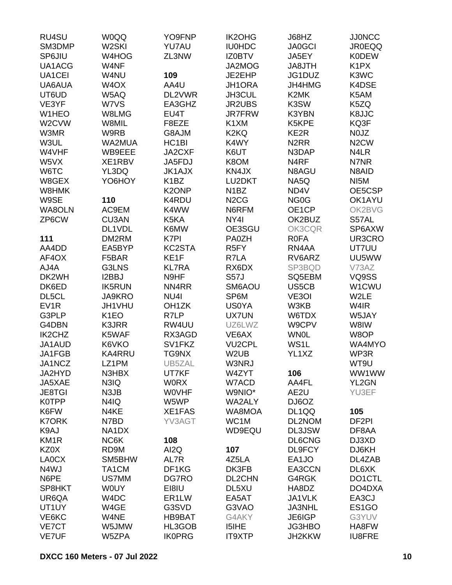| RU4SU             | <b>W0QQ</b>        | YO9FNP             | <b>IK2OHG</b>                 | J68HZ             | <b>JJ0NCC</b>                 |
|-------------------|--------------------|--------------------|-------------------------------|-------------------|-------------------------------|
| SM3DMP            | W <sub>2</sub> SKI | YU7AU              | <b>IU0HDC</b>                 | <b>JA0GCI</b>     | <b>JR0EQQ</b>                 |
| SP6JIU            | W4HOG              | ZL3NW              | <b>IZ0BTV</b>                 | JA5EY             | <b>K0DEW</b>                  |
| UA1ACG            | W4NF               |                    | JA2MOG                        | JA8JTH            | K <sub>1</sub> P <sub>X</sub> |
| UA1CEI            | W4NU               | 109                | JE2EHP                        | JG1DUZ            | K3WC                          |
| UA6AUA            | W <sub>4</sub> OX  | AA4U               | JH1ORA                        | JH4HMG            | K4DSE                         |
| UT6UD             | W5AQ               | DL2VWR             | JH3CUL                        | K <sub>2</sub> MK | K5AM                          |
| VE3YF             | W7VS               | EA3GHZ             | <b>JR2UBS</b>                 | K3SW              | K5ZQ                          |
| W1HEO             | W8LMG              | EU4T               | <b>JR7FRW</b>                 | K3YBN             | K8JJC                         |
| W2CVW             | W8MIL              | F8EZE              | K <sub>1</sub> XM             | K5KPE             | KQ3F                          |
| W3MR              | W9RB               | G8AJM              | K <sub>2</sub> KQ             | KE2R              | N0JZ                          |
| W3UL              | WA2MUA             | HC <sub>1</sub> BI | K4WY                          | N <sub>2</sub> RR | N <sub>2</sub> CW             |
| W4VHF             | WB9EEE             | JA2CXF             | K6UT                          | N3DAP             | N4LR                          |
| W5VX              | XE1RBV             | JA5FDJ             | K8OM                          | N <sub>4</sub> RF | N7NR                          |
| W6TC              | YL3DQ              | <b>JK1AJX</b>      | KN4JX                         | N8AGU             | N8AID                         |
|                   |                    | K <sub>1</sub> BZ  | LU2DKT                        |                   | NI <sub>5</sub> M             |
| W8GEX             | YO6HOY             |                    |                               | NA5Q              |                               |
| W8HMK             |                    | K <sub>2</sub> ONP | N <sub>1</sub> BZ             | ND4V              | OE5CSP                        |
| W9SE              | 110                | K4RDU              | N <sub>2</sub> C <sub>G</sub> | NG <sub>0</sub> G | OK1AYU                        |
| WA8OLN            | AC9EM              | K4WW               | N6RFM                         | OE1CP             | OK2BVG                        |
| ZP6CW             | <b>CU3AN</b>       | K5KA               | NY4I                          | OK2BUZ            | S57AL                         |
|                   | DL1VDL             | K6MW               | OE3SGU                        | OK3CQR            | SP6AXW                        |
| 111               | DM2RM              | K7PI               | <b>PA0ZH</b>                  | <b>ROFA</b>       | UR3CRO                        |
| AA4DD             | EA5BYP             | KC2STA             | R <sub>5</sub> FY             | RN4AA             | UT7UU                         |
| AF4OX             | F5BAR              | KE1F               | R7LA                          | RV6ARZ            | UU5WW                         |
| AJ4A              | G3LNS              | <b>KL7RA</b>       | RX6DX                         | SP3BQD            | V73AZ                         |
| DK2WH             | I2BBJ              | N9HF               | <b>S57J</b>                   | SQ5EBM            | VQ9SS                         |
| DK6ED             | <b>IK5RUN</b>      | NN4RR              | SM6AOU                        | US5CB             | W1CWU                         |
| DL5CL             | <b>JA9KRO</b>      | NU4I               | SP6M                          | VE3OI             | W2LE                          |
| EV <sub>1</sub> R | JH1VHU             | OH <sub>1</sub> ZK | <b>US0YA</b>                  | W3KB              | W4IR                          |
| G3PLP             | K <sub>1</sub> EO  | R7LP               | <b>UX7UN</b>                  | W6TDX             | W5JAY                         |
| G4DBN             | K3JRR              | RW4UU              | UZ6LWZ                        | W9CPV             | W8IW                          |
| IK2CHZ            | K5WAF              | RX3AGD             | VE6AX                         | <b>WN0L</b>       | W8OP                          |
| JA1AUD            | K6VKO              | SV1FKZ             | <b>VU2CPL</b>                 | WS1L              | WA4MYO                        |
| JA1FGB            | <b>KA4RRU</b>      | TG9NX              | W <sub>2</sub> UB             | YL1XZ             | WP3R                          |
| JA1NCZ            | LZ1PM              | UB5ZAL             | W3NRJ                         |                   | WT9U                          |
| JA2HYD            | N3HBX              | UT7KF              | W4ZYT                         | 106               | WW1WW                         |
| JA5XAE            | N3IQ               | <b>WORX</b>        | W7ACD                         | AA4FL             | YL2GN                         |
| <b>JE8TGI</b>     | N3JB               | <b>WOVHF</b>       | W9NIO*                        | AE2U              | YU3EF                         |
| <b>K0TPP</b>      | N4IQ               | W5WP               | <b>WA2ALY</b>                 | DJ6OZ             |                               |
| K6FW              | N4KE               | XE1FAS             | WA8MOA                        | DL1QQ             | 105                           |
| <b>K7ORK</b>      | N7BD               | YV3AGT             | WC1M                          | DL2NOM            | DF <sub>2PI</sub>             |
| K9AJ              | NA1DX              |                    | WD9EQU                        | DL3JSW            | DF8AA                         |
| KM <sub>1R</sub>  | NC6K               | 108                |                               | <b>DL6CNG</b>     | DJ3XD                         |
| KZ0X              | RD9M               | AI <sub>2</sub> Q  | 107                           | DL9FCY            | DJ6KH                         |
| LA0CX             | SM5BHW             | AL7R               | 4Z5LA                         | EA1JO             | DL4ZAB                        |
| N4WJ              | TA1CM              | DF1KG              | DK3FB                         | EA3CCN            | DL6XK                         |
| N6PE              | US7MM              | DG7RO              | DL2CHN                        | G4RGK             | DO1CTL                        |
| SP8HKT            | <b>WOUY</b>        | EI8IU              | DL5XU                         | HA8DZ             | DO4DXA                        |
| UR6QA             | W4DC               | ER <sub>1</sub> LW | EA5AT                         | JA1VLK            | EA3CJ                         |
| UT1UY             | W4GE               | G3SVD              | G3VAO                         | JA3NHL            | ES1GO                         |
| VE6KC             | W4NE               | <b>HB9BAT</b>      | G4AKY                         | JE6IGP            | G3YUV                         |
| VE7CT             | W5JMW              | HL3GOB             | <b>I5IHE</b>                  | JG3HBO            | HA8FW                         |
| <b>VE7UF</b>      | W5ZPA              | <b>IK0PRG</b>      | <b>IT9XTP</b>                 | JH2KKW            | <b>IU8FRE</b>                 |
|                   |                    |                    |                               |                   |                               |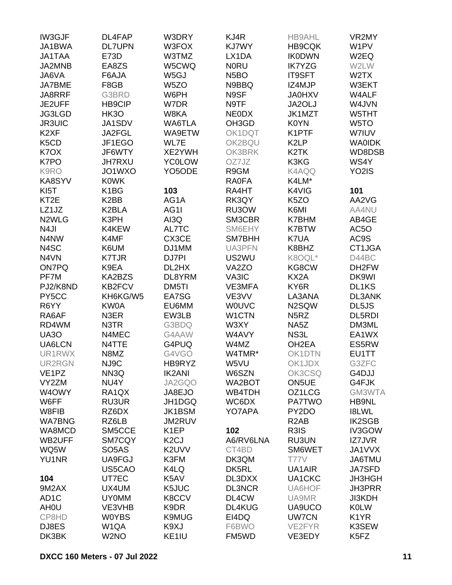| <b>IW3GJF</b>                 | DL4FAP                         | W3DRY               | KJ4R              | <b>HB9AHL</b>      | VR2MY              |
|-------------------------------|--------------------------------|---------------------|-------------------|--------------------|--------------------|
| JA1BWA                        | <b>DL7UPN</b>                  | W3FOX               | <b>KJ7WY</b>      | <b>HB9CQK</b>      | W1PV               |
| <b>JA1TAA</b>                 | E73D                           | W3TMZ               | LX1DA             | <b>IK0DWN</b>      | W <sub>2</sub> EQ  |
| JA2MNB                        | EA8ZS                          | W5CWQ               | <b>NORU</b>       | <b>IK7YZG</b>      | W2LW               |
| JA6VA                         | F6AJA                          | W5GJ                | N <sub>5</sub> BO | <b>IT9SFT</b>      | W <sub>2</sub> TX  |
| <b>JA7BME</b>                 | F8GB                           | W <sub>5</sub> ZO   | N9BBQ             | IZ4MJP             | W3EKT              |
| JA8RRF                        | G3BRD                          | W6PH                | N9SF              | <b>JA0HXV</b>      | W4ALF              |
| JE2UFF                        | <b>HB9CIP</b>                  | W7DR                | N9TF              | JA2OLJ             | W4JVN              |
| JG3LGD                        | <b>HK3O</b>                    | W8KA                | <b>NEODX</b>      | JK1MZT             | W5THT              |
|                               | JA1SDV                         |                     | OH3GD             | K0YN               | W <sub>5</sub> TO  |
| <b>JR3UIC</b>                 |                                | WA6TLA              |                   |                    |                    |
| K <sub>2</sub> XF             | JA2FGL                         | WA9ETW              | OK1DQT            | K1PTF              | W7IUV              |
| K <sub>5</sub> C <sub>D</sub> | JF1EGO                         | WL7E                | OK2BQU            | K <sub>2</sub> LP  | <b>WAOIDK</b>      |
| K7OX                          | JF6WTY                         | XE2YWH              | OK3BRK            | K <sub>2</sub> TK  | WD8DSB             |
| K7PO                          | <b>JH7RXU</b>                  | <b>YC0LOW</b>       | OZ7JZ             | K3KG               | WS4Y               |
| K9RO                          | JO1WXO                         | YO <sub>5</sub> ODE | R9GM              | K4AQQ              | YO <sub>2</sub> IS |
| KA8SYV                        | <b>K0WK</b>                    |                     | <b>RA0FA</b>      | K4LM*              |                    |
| KI <sub>5</sub> T             | K1BG                           | 103                 | RA4HT             | K4VIG              | 101                |
| KT <sub>2</sub> E             | K <sub>2</sub> BB              | AG1A                | RK3QY             | K <sub>5</sub> ZO  | AA2VG              |
| LZ1JZ                         | K <sub>2</sub> BLA             | AG1I                | RU3OW             | K6MI               | AA4NU              |
| N <sub>2</sub> WLG            | K3PH                           | AI3Q                | SM3CBR            | K7BHM              | AB4GE              |
| N <sub>4</sub> JI             | K4KEW                          | AL7TC               | SM6EHY            | <b>K7BTW</b>       | AC5O               |
| N4NW                          | K4MF                           | CX3CE               | SM7BHH            | K7UA               | AC9S               |
| N4SC                          | K6UM                           | DJ1MM               | UA3PFN            | K8BHZ              | CT1JGA             |
| N4VN                          | <b>K7TJR</b>                   | DJ7PI               | US2WU             | K8OQL*             | D44BC              |
| <b>ON7PQ</b>                  | K9EA                           | DL2HX               | VA2ZO             | KG8CW              | DH <sub>2</sub> FW |
| PF7M                          | KA2BZS                         | DL8YRM              | VA3IC             | KX2A               | DK9WI              |
| PJ2/K8ND                      | KB2FCV                         | DM5TI               | VE3MFA            | KY6R               | DL1KS              |
| PY5CC                         | KH6KG/W5                       | EA7SG               | VE3VV             | LA3ANA             | <b>DL3ANK</b>      |
| R6YY                          | KW0A                           | EU6MM               | <b>WOUVC</b>      | N2SQW              | DL5JS              |
| RA6AF                         | N3ER                           | EW3LB               | W1CTN             | N <sub>5</sub> RZ  | DL5RDI             |
| RD4WM                         | N3TR                           | G3BDQ               | W3XY              | NA5Z               | DM3ML              |
| <b>UA30</b>                   | N4MEC                          | G4AAW               | W4AVY             | NS3L               | EA1WX              |
| UA6LCN                        |                                | G4PUQ               | W4MZ              | OH <sub>2</sub> EA |                    |
|                               | N4TTE                          |                     |                   |                    | ES5RW              |
| UR1RWX                        | N8MZ                           | G4VGO               | W4TMR*            | OK1DTN             | EU1TT              |
| UR2RGN                        | NJ9C                           | HB9RYZ              | W5VU              | OK1JDX             | G3ZFC              |
| VE <sub>1</sub> PZ            | NN3Q                           | <b>IK2ANI</b>       | W6SZN             | OK3CSQ             | G4DJJ              |
| VY2ZM                         | NU4Y                           | JA2GQO              | WA2BOT            | ON5UE              | G4FJK              |
| W4OWY                         | RA <sub>1</sub> QX             | JA8EJO              | WB4TDH            | OZ1LCG             | GM3WTA             |
| W6FF                          | RU3UR                          | JH1DGQ              | WC6DX             | <b>PA7TWO</b>      | HB9NL              |
| W8FIB                         | RZ6DX                          | JK1BSM              | YO7APA            | PY2DO              | <b>I8LWL</b>       |
| <b>WA7BNG</b>                 | RZ6LB                          | JM2RUV              |                   | R <sub>2</sub> AB  | <b>IK2SGB</b>      |
| WA8MCD                        | SM5CCE                         | K <sub>1</sub> EP   | 102               | R3IS               | IV3GOW             |
| WB2UFF                        | SM7CQY                         | K <sub>2</sub> CJ   | A6/RV6LNA         | <b>RU3UN</b>       | <b>IZ7JVR</b>      |
| WQ5W                          | SO <sub>5</sub> A <sub>S</sub> | K2UVV               | CT4BD             | SM6WET             | JA1VVX             |
| <b>YU1NR</b>                  | UA9FGJ                         | K3FM                | DK3QM             | <b>T77V</b>        | JA6TMU             |
|                               | US5CAO                         | K4LQ                | DK5RL             | UA1AIR             | <b>JA7SFD</b>      |
| 104                           | UT7EC                          | K5AV                | DL3DXX            | UA1CKC             | <b>JH3HGH</b>      |
| 9M2AX                         | UX4UM                          | K5JUC               | <b>DL3NCR</b>     | UA6HOF             | JH3PRR             |
| AD <sub>1</sub> C             | <b>UY0MM</b>                   | K8CCV               | DL4CW             | UA9MR              | <b>JI3KDH</b>      |
| AH <sub>0</sub> U             | VE3VHB                         | K9DR                | <b>DL4KUG</b>     | UA9UCO             | <b>K0LW</b>        |
| CP8HD                         | <b>W0YBS</b>                   | <b>K9MUG</b>        | EI4DQ             | <b>UW7CN</b>       | K <sub>1</sub> YR  |
| DJ8ES                         | W <sub>1</sub> QA              | K9XJ                | F6BWO             | VE2FYR             | K3SEW              |
| DK3BK                         | W <sub>2</sub> NO              | KE1IU               | FM5WD             | VE3EDY             | K5FZ               |
|                               |                                |                     |                   |                    |                    |